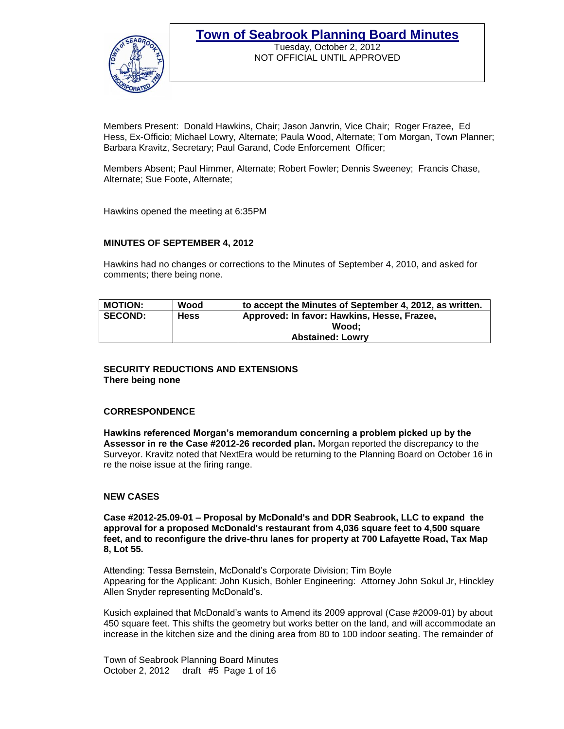

Tuesday, October 2, 2012 NOT OFFICIAL UNTIL APPROVED

Members Present: Donald Hawkins, Chair; Jason Janvrin, Vice Chair; Roger Frazee, Ed Hess, Ex-Officio; Michael Lowry, Alternate; Paula Wood, Alternate; Tom Morgan, Town Planner; Barbara Kravitz, Secretary; Paul Garand, Code Enforcement Officer;

Members Absent; Paul Himmer, Alternate; Robert Fowler; Dennis Sweeney; Francis Chase, Alternate; Sue Foote, Alternate;

Hawkins opened the meeting at 6:35PM

#### **MINUTES OF SEPTEMBER 4, 2012**

Hawkins had no changes or corrections to the Minutes of September 4, 2010, and asked for comments; there being none.

| <b>MOTION:</b> | Wood        | to accept the Minutes of September 4, 2012, as written. |
|----------------|-------------|---------------------------------------------------------|
| <b>SECOND:</b> | <b>Hess</b> | Approved: In favor: Hawkins, Hesse, Frazee,             |
|                |             | Wood:                                                   |
|                |             | <b>Abstained: Lowrv</b>                                 |

#### **SECURITY REDUCTIONS AND EXTENSIONS There being none**

#### **CORRESPONDENCE**

**Hawkins referenced Morgan's memorandum concerning a problem picked up by the Assessor in re the Case #2012-26 recorded plan.** Morgan reported the discrepancy to the Surveyor. Kravitz noted that NextEra would be returning to the Planning Board on October 16 in re the noise issue at the firing range.

#### **NEW CASES**

**Case #2012-25.09-01 – Proposal by McDonald's and DDR Seabrook, LLC to expand the approval for a proposed McDonald's restaurant from 4,036 square feet to 4,500 square feet, and to reconfigure the drive-thru lanes for property at 700 Lafayette Road, Tax Map 8, Lot 55.** 

Attending: Tessa Bernstein, McDonald's Corporate Division; Tim Boyle Appearing for the Applicant: John Kusich, Bohler Engineering: Attorney John Sokul Jr, Hinckley Allen Snyder representing McDonald's.

Kusich explained that McDonald's wants to Amend its 2009 approval (Case #2009-01) by about 450 square feet. This shifts the geometry but works better on the land, and will accommodate an increase in the kitchen size and the dining area from 80 to 100 indoor seating. The remainder of

Town of Seabrook Planning Board Minutes October 2, 2012 draft #5 Page 1 of 16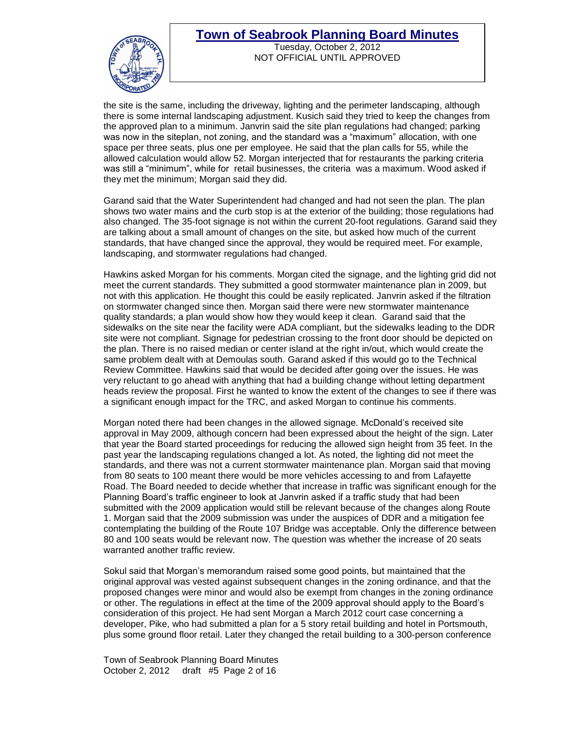

Tuesday, October 2, 2012 NOT OFFICIAL UNTIL APPROVED

the site is the same, including the driveway, lighting and the perimeter landscaping, although there is some internal landscaping adjustment. Kusich said they tried to keep the changes from the approved plan to a minimum. Janvrin said the site plan regulations had changed; parking was now in the siteplan, not zoning, and the standard was a "maximum" allocation, with one space per three seats, plus one per employee. He said that the plan calls for 55, while the allowed calculation would allow 52. Morgan interjected that for restaurants the parking criteria was still a "minimum", while for retail businesses, the criteria was a maximum. Wood asked if they met the minimum; Morgan said they did.

Garand said that the Water Superintendent had changed and had not seen the plan. The plan shows two water mains and the curb stop is at the exterior of the building; those regulations had also changed. The 35-foot signage is not within the current 20-foot regulations. Garand said they are talking about a small amount of changes on the site, but asked how much of the current standards, that have changed since the approval, they would be required meet. For example, landscaping, and stormwater regulations had changed.

Hawkins asked Morgan for his comments. Morgan cited the signage, and the lighting grid did not meet the current standards. They submitted a good stormwater maintenance plan in 2009, but not with this application. He thought this could be easily replicated. Janvrin asked if the filtration on stormwater changed since then. Morgan said there were new stormwater maintenance quality standards; a plan would show how they would keep it clean. Garand said that the sidewalks on the site near the facility were ADA compliant, but the sidewalks leading to the DDR site were not compliant. Signage for pedestrian crossing to the front door should be depicted on the plan. There is no raised median or center island at the right in/out, which would create the same problem dealt with at Demoulas south. Garand asked if this would go to the Technical Review Committee. Hawkins said that would be decided after going over the issues. He was very reluctant to go ahead with anything that had a building change without letting department heads review the proposal. First he wanted to know the extent of the changes to see if there was a significant enough impact for the TRC, and asked Morgan to continue his comments.

Morgan noted there had been changes in the allowed signage. McDonald's received site approval in May 2009, although concern had been expressed about the height of the sign. Later that year the Board started proceedings for reducing the allowed sign height from 35 feet. In the past year the landscaping regulations changed a lot. As noted, the lighting did not meet the standards, and there was not a current stormwater maintenance plan. Morgan said that moving from 80 seats to 100 meant there would be more vehicles accessing to and from Lafayette Road. The Board needed to decide whether that increase in traffic was significant enough for the Planning Board's traffic engineer to look at Janvrin asked if a traffic study that had been submitted with the 2009 application would still be relevant because of the changes along Route 1. Morgan said that the 2009 submission was under the auspices of DDR and a mitigation fee contemplating the building of the Route 107 Bridge was acceptable. Only the difference between 80 and 100 seats would be relevant now. The question was whether the increase of 20 seats warranted another traffic review.

Sokul said that Morgan's memorandum raised some good points, but maintained that the original approval was vested against subsequent changes in the zoning ordinance, and that the proposed changes were minor and would also be exempt from changes in the zoning ordinance or other. The regulations in effect at the time of the 2009 approval should apply to the Board's consideration of this project. He had sent Morgan a March 2012 court case concerning a developer, Pike, who had submitted a plan for a 5 story retail building and hotel in Portsmouth, plus some ground floor retail. Later they changed the retail building to a 300-person conference

Town of Seabrook Planning Board Minutes October 2, 2012 draft #5 Page 2 of 16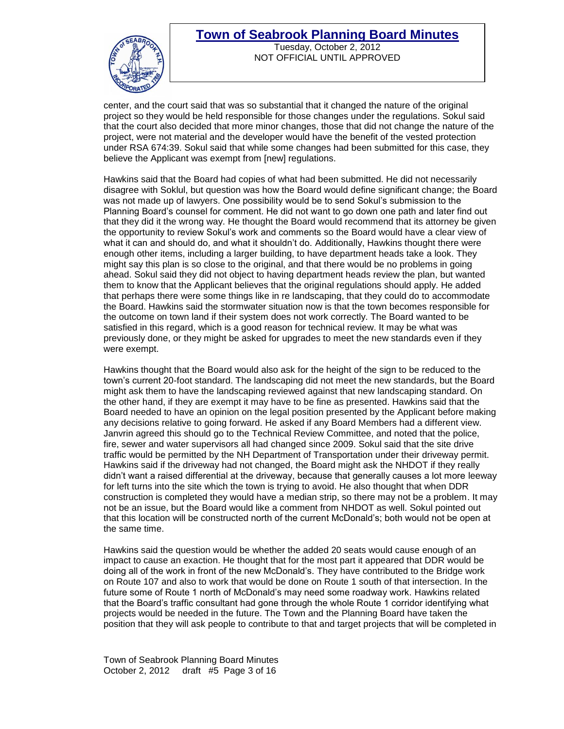

Tuesday, October 2, 2012 NOT OFFICIAL UNTIL APPROVED

center, and the court said that was so substantial that it changed the nature of the original project so they would be held responsible for those changes under the regulations. Sokul said that the court also decided that more minor changes, those that did not change the nature of the project, were not material and the developer would have the benefit of the vested protection under RSA 674:39. Sokul said that while some changes had been submitted for this case, they believe the Applicant was exempt from [new] regulations.

Hawkins said that the Board had copies of what had been submitted. He did not necessarily disagree with Soklul, but question was how the Board would define significant change; the Board was not made up of lawyers. One possibility would be to send Sokul's submission to the Planning Board's counsel for comment. He did not want to go down one path and later find out that they did it the wrong way. He thought the Board would recommend that its attorney be given the opportunity to review Sokul's work and comments so the Board would have a clear view of what it can and should do, and what it shouldn't do. Additionally, Hawkins thought there were enough other items, including a larger building, to have department heads take a look. They might say this plan is so close to the original, and that there would be no problems in going ahead. Sokul said they did not object to having department heads review the plan, but wanted them to know that the Applicant believes that the original regulations should apply. He added that perhaps there were some things like in re landscaping, that they could do to accommodate the Board. Hawkins said the stormwater situation now is that the town becomes responsible for the outcome on town land if their system does not work correctly. The Board wanted to be satisfied in this regard, which is a good reason for technical review. It may be what was previously done, or they might be asked for upgrades to meet the new standards even if they were exempt.

Hawkins thought that the Board would also ask for the height of the sign to be reduced to the town's current 20-foot standard. The landscaping did not meet the new standards, but the Board might ask them to have the landscaping reviewed against that new landscaping standard. On the other hand, if they are exempt it may have to be fine as presented. Hawkins said that the Board needed to have an opinion on the legal position presented by the Applicant before making any decisions relative to going forward. He asked if any Board Members had a different view. Janvrin agreed this should go to the Technical Review Committee, and noted that the police, fire, sewer and water supervisors all had changed since 2009. Sokul said that the site drive traffic would be permitted by the NH Department of Transportation under their driveway permit. Hawkins said if the driveway had not changed, the Board might ask the NHDOT if they really didn't want a raised differential at the driveway, because that generally causes a lot more leeway for left turns into the site which the town is trying to avoid. He also thought that when DDR construction is completed they would have a median strip, so there may not be a problem. It may not be an issue, but the Board would like a comment from NHDOT as well. Sokul pointed out that this location will be constructed north of the current McDonald's; both would not be open at the same time.

Hawkins said the question would be whether the added 20 seats would cause enough of an impact to cause an exaction. He thought that for the most part it appeared that DDR would be doing all of the work in front of the new McDonald's. They have contributed to the Bridge work on Route 107 and also to work that would be done on Route 1 south of that intersection. In the future some of Route 1 north of McDonald's may need some roadway work. Hawkins related that the Board's traffic consultant had gone through the whole Route 1 corridor identifying what projects would be needed in the future. The Town and the Planning Board have taken the position that they will ask people to contribute to that and target projects that will be completed in

Town of Seabrook Planning Board Minutes October 2, 2012 draft #5 Page 3 of 16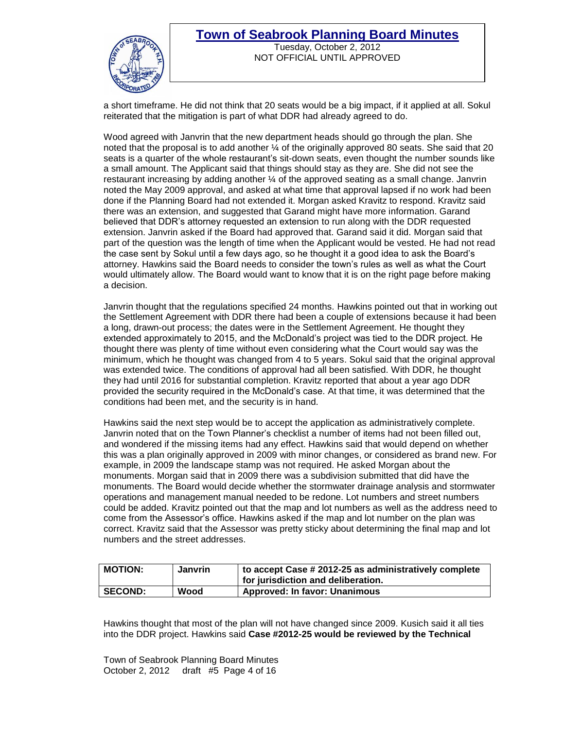

#### **Town of Seabrook Planning Board Minutes** Tuesday, October 2, 2012 NOT OFFICIAL UNTIL APPROVED

a short timeframe. He did not think that 20 seats would be a big impact, if it applied at all. Sokul reiterated that the mitigation is part of what DDR had already agreed to do.

Wood agreed with Janvrin that the new department heads should go through the plan. She noted that the proposal is to add another ¼ of the originally approved 80 seats. She said that 20 seats is a quarter of the whole restaurant's sit-down seats, even thought the number sounds like a small amount. The Applicant said that things should stay as they are. She did not see the restaurant increasing by adding another ¼ of the approved seating as a small change. Janvrin noted the May 2009 approval, and asked at what time that approval lapsed if no work had been done if the Planning Board had not extended it. Morgan asked Kravitz to respond. Kravitz said there was an extension, and suggested that Garand might have more information. Garand believed that DDR's attorney requested an extension to run along with the DDR requested extension. Janvrin asked if the Board had approved that. Garand said it did. Morgan said that part of the question was the length of time when the Applicant would be vested. He had not read the case sent by Sokul until a few days ago, so he thought it a good idea to ask the Board's attorney. Hawkins said the Board needs to consider the town's rules as well as what the Court would ultimately allow. The Board would want to know that it is on the right page before making a decision.

Janvrin thought that the regulations specified 24 months. Hawkins pointed out that in working out the Settlement Agreement with DDR there had been a couple of extensions because it had been a long, drawn-out process; the dates were in the Settlement Agreement. He thought they extended approximately to 2015, and the McDonald's project was tied to the DDR project. He thought there was plenty of time without even considering what the Court would say was the minimum, which he thought was changed from 4 to 5 years. Sokul said that the original approval was extended twice. The conditions of approval had all been satisfied. With DDR, he thought they had until 2016 for substantial completion. Kravitz reported that about a year ago DDR provided the security required in the McDonald's case. At that time, it was determined that the conditions had been met, and the security is in hand.

Hawkins said the next step would be to accept the application as administratively complete. Janvrin noted that on the Town Planner's checklist a number of items had not been filled out, and wondered if the missing items had any effect. Hawkins said that would depend on whether this was a plan originally approved in 2009 with minor changes, or considered as brand new. For example, in 2009 the landscape stamp was not required. He asked Morgan about the monuments. Morgan said that in 2009 there was a subdivision submitted that did have the monuments. The Board would decide whether the stormwater drainage analysis and stormwater operations and management manual needed to be redone. Lot numbers and street numbers could be added. Kravitz pointed out that the map and lot numbers as well as the address need to come from the Assessor's office. Hawkins asked if the map and lot number on the plan was correct. Kravitz said that the Assessor was pretty sticky about determining the final map and lot numbers and the street addresses.

| <b>MOTION:</b> | <b>Janvrin</b> | $\frac{1}{2}$ to accept Case # 2012-25 as administratively complete<br>for jurisdiction and deliberation. |
|----------------|----------------|-----------------------------------------------------------------------------------------------------------|
| <b>SECOND:</b> | Wood           | <b>Approved: In favor: Unanimous</b>                                                                      |

Hawkins thought that most of the plan will not have changed since 2009. Kusich said it all ties into the DDR project. Hawkins said **Case #2012-25 would be reviewed by the Technical** 

Town of Seabrook Planning Board Minutes October 2, 2012 draft #5 Page 4 of 16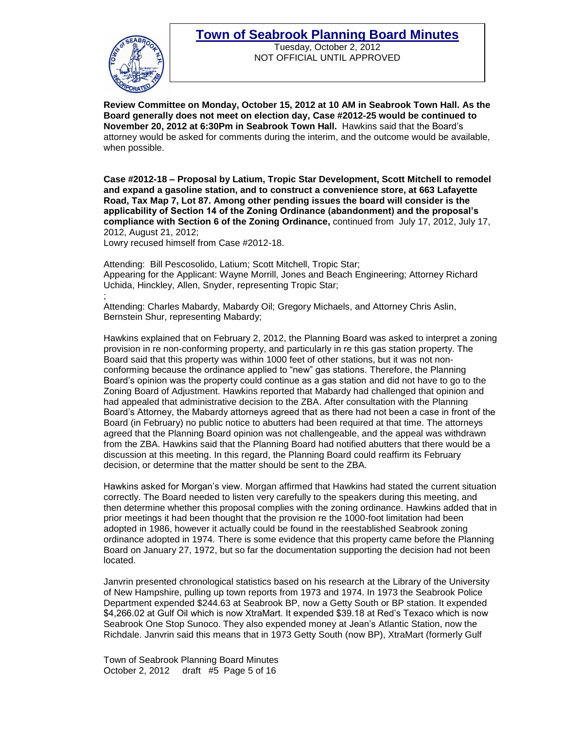

Tuesday, October 2, 2012 NOT OFFICIAL UNTIL APPROVED

**Review Committee on Monday, October 15, 2012 at 10 AM in Seabrook Town Hall. As the Board generally does not meet on election day, Case #2012-25 would be continued to November 20, 2012 at 6:30Pm in Seabrook Town Hall.** Hawkins said that the Board's attorney would be asked for comments during the interim, and the outcome would be available, when possible.

**Case #2012-18 – Proposal by Latium, Tropic Star Development, Scott Mitchell to remodel and expand a gasoline station, and to construct a convenience store, at 663 Lafayette Road, Tax Map 7, Lot 87. Among other pending issues the board will consider is the applicability of Section 14 of the Zoning Ordinance (abandonment) and the proposal's compliance with Section 6 of the Zoning Ordinance,** continued from July 17, 2012, July 17, 2012, August 21, 2012;

Lowry recused himself from Case #2012-18.

Attending: Bill Pescosolido, Latium; Scott Mitchell, Tropic Star; Appearing for the Applicant: Wayne Morrill, Jones and Beach Engineering; Attorney Richard Uchida, Hinckley, Allen, Snyder, representing Tropic Star;

; Attending: Charles Mabardy, Mabardy Oil; Gregory Michaels, and Attorney Chris Aslin, Bernstein Shur, representing Mabardy;

Hawkins explained that on February 2, 2012, the Planning Board was asked to interpret a zoning provision in re non-conforming property, and particularly in re this gas station property. The Board said that this property was within 1000 feet of other stations, but it was not nonconforming because the ordinance applied to "new" gas stations. Therefore, the Planning Board's opinion was the property could continue as a gas station and did not have to go to the Zoning Board of Adjustment. Hawkins reported that Mabardy had challenged that opinion and had appealed that administrative decision to the ZBA. After consultation with the Planning Board's Attorney, the Mabardy attorneys agreed that as there had not been a case in front of the Board (in February) no public notice to abutters had been required at that time. The attorneys agreed that the Planning Board opinion was not challengeable, and the appeal was withdrawn from the ZBA. Hawkins said that the Planning Board had notified abutters that there would be a discussion at this meeting. In this regard, the Planning Board could reaffirm its February decision, or determine that the matter should be sent to the ZBA.

Hawkins asked for Morgan's view. Morgan affirmed that Hawkins had stated the current situation correctly. The Board needed to listen very carefully to the speakers during this meeting, and then determine whether this proposal complies with the zoning ordinance. Hawkins added that in prior meetings it had been thought that the provision re the 1000-foot limitation had been adopted in 1986, however it actually could be found in the reestablished Seabrook zoning ordinance adopted in 1974. There is some evidence that this property came before the Planning Board on January 27, 1972, but so far the documentation supporting the decision had not been located.

Janvrin presented chronological statistics based on his research at the Library of the University of New Hampshire, pulling up town reports from 1973 and 1974. In 1973 the Seabrook Police Department expended \$244.63 at Seabrook BP, now a Getty South or BP station. It expended \$4,266.02 at Gulf Oil which is now XtraMart. It expended \$39.18 at Red's Texaco which is now Seabrook One Stop Sunoco. They also expended money at Jean's Atlantic Station, now the Richdale. Janvrin said this means that in 1973 Getty South (now BP), XtraMart (formerly Gulf

Town of Seabrook Planning Board Minutes October 2, 2012 draft #5 Page 5 of 16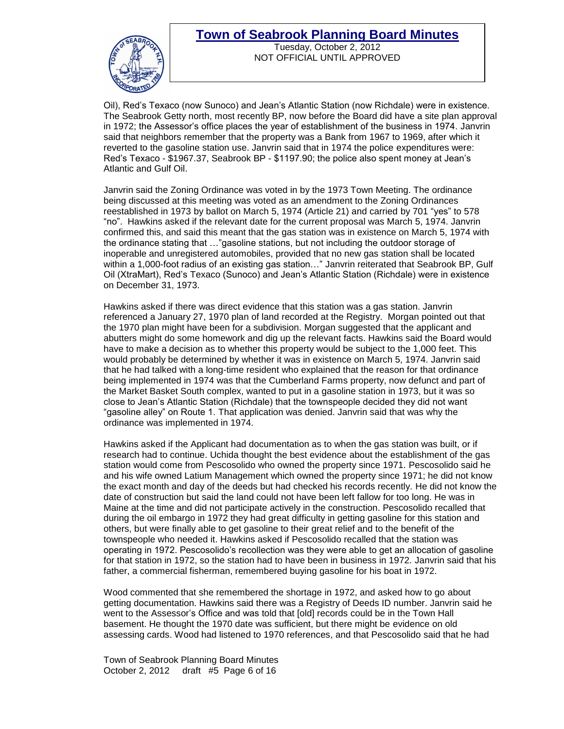

Tuesday, October 2, 2012 NOT OFFICIAL UNTIL APPROVED

Oil), Red's Texaco (now Sunoco) and Jean's Atlantic Station (now Richdale) were in existence. The Seabrook Getty north, most recently BP, now before the Board did have a site plan approval in 1972; the Assessor's office places the year of establishment of the business in 1974. Janvrin said that neighbors remember that the property was a Bank from 1967 to 1969, after which it reverted to the gasoline station use. Janvrin said that in 1974 the police expenditures were: Red's Texaco - \$1967.37, Seabrook BP - \$1197.90; the police also spent money at Jean's Atlantic and Gulf Oil.

Janvrin said the Zoning Ordinance was voted in by the 1973 Town Meeting. The ordinance being discussed at this meeting was voted as an amendment to the Zoning Ordinances reestablished in 1973 by ballot on March 5, 1974 (Article 21) and carried by 701 "yes" to 578 "no". Hawkins asked if the relevant date for the current proposal was March 5, 1974. Janvrin confirmed this, and said this meant that the gas station was in existence on March 5, 1974 with the ordinance stating that …"gasoline stations, but not including the outdoor storage of inoperable and unregistered automobiles, provided that no new gas station shall be located within a 1,000-foot radius of an existing gas station…" Janvrin reiterated that Seabrook BP, Gulf Oil (XtraMart), Red's Texaco (Sunoco) and Jean's Atlantic Station (Richdale) were in existence on December 31, 1973.

Hawkins asked if there was direct evidence that this station was a gas station. Janvrin referenced a January 27, 1970 plan of land recorded at the Registry. Morgan pointed out that the 1970 plan might have been for a subdivision. Morgan suggested that the applicant and abutters might do some homework and dig up the relevant facts. Hawkins said the Board would have to make a decision as to whether this property would be subject to the 1,000 feet. This would probably be determined by whether it was in existence on March 5, 1974. Janvrin said that he had talked with a long-time resident who explained that the reason for that ordinance being implemented in 1974 was that the Cumberland Farms property, now defunct and part of the Market Basket South complex, wanted to put in a gasoline station in 1973, but it was so close to Jean's Atlantic Station (Richdale) that the townspeople decided they did not want "gasoline alley" on Route 1. That application was denied. Janvrin said that was why the ordinance was implemented in 1974.

Hawkins asked if the Applicant had documentation as to when the gas station was built, or if research had to continue. Uchida thought the best evidence about the establishment of the gas station would come from Pescosolido who owned the property since 1971. Pescosolido said he and his wife owned Latium Management which owned the property since 1971; he did not know the exact month and day of the deeds but had checked his records recently. He did not know the date of construction but said the land could not have been left fallow for too long. He was in Maine at the time and did not participate actively in the construction. Pescosolido recalled that during the oil embargo in 1972 they had great difficulty in getting gasoline for this station and others, but were finally able to get gasoline to their great relief and to the benefit of the townspeople who needed it. Hawkins asked if Pescosolido recalled that the station was operating in 1972. Pescosolido's recollection was they were able to get an allocation of gasoline for that station in 1972, so the station had to have been in business in 1972. Janvrin said that his father, a commercial fisherman, remembered buying gasoline for his boat in 1972.

Wood commented that she remembered the shortage in 1972, and asked how to go about getting documentation. Hawkins said there was a Registry of Deeds ID number. Janvrin said he went to the Assessor's Office and was told that [old] records could be in the Town Hall basement. He thought the 1970 date was sufficient, but there might be evidence on old assessing cards. Wood had listened to 1970 references, and that Pescosolido said that he had

Town of Seabrook Planning Board Minutes October 2, 2012 draft #5 Page 6 of 16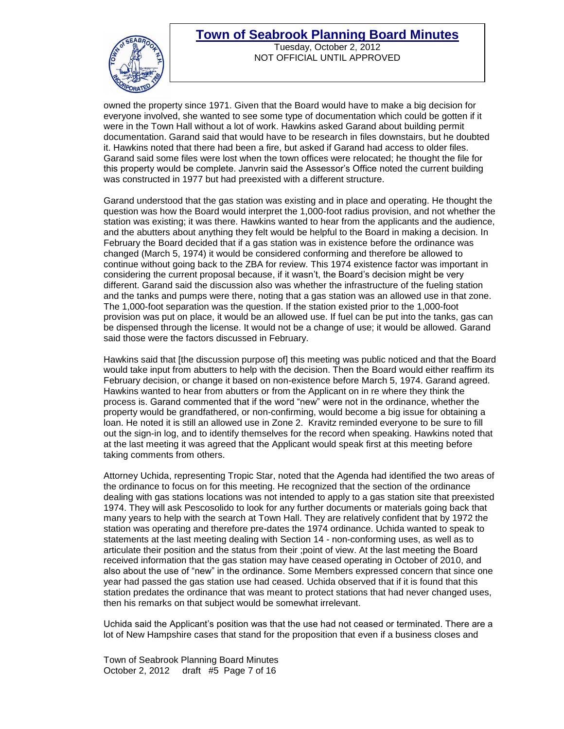

Tuesday, October 2, 2012 NOT OFFICIAL UNTIL APPROVED

owned the property since 1971. Given that the Board would have to make a big decision for everyone involved, she wanted to see some type of documentation which could be gotten if it were in the Town Hall without a lot of work. Hawkins asked Garand about building permit documentation. Garand said that would have to be research in files downstairs, but he doubted it. Hawkins noted that there had been a fire, but asked if Garand had access to older files. Garand said some files were lost when the town offices were relocated; he thought the file for this property would be complete. Janvrin said the Assessor's Office noted the current building was constructed in 1977 but had preexisted with a different structure.

Garand understood that the gas station was existing and in place and operating. He thought the question was how the Board would interpret the 1,000-foot radius provision, and not whether the station was existing; it was there. Hawkins wanted to hear from the applicants and the audience, and the abutters about anything they felt would be helpful to the Board in making a decision. In February the Board decided that if a gas station was in existence before the ordinance was changed (March 5, 1974) it would be considered conforming and therefore be allowed to continue without going back to the ZBA for review. This 1974 existence factor was important in considering the current proposal because, if it wasn't, the Board's decision might be very different. Garand said the discussion also was whether the infrastructure of the fueling station and the tanks and pumps were there, noting that a gas station was an allowed use in that zone. The 1,000-foot separation was the question. If the station existed prior to the 1,000-foot provision was put on place, it would be an allowed use. If fuel can be put into the tanks, gas can be dispensed through the license. It would not be a change of use; it would be allowed. Garand said those were the factors discussed in February.

Hawkins said that [the discussion purpose of] this meeting was public noticed and that the Board would take input from abutters to help with the decision. Then the Board would either reaffirm its February decision, or change it based on non-existence before March 5, 1974. Garand agreed. Hawkins wanted to hear from abutters or from the Applicant on in re where they think the process is. Garand commented that if the word "new" were not in the ordinance, whether the property would be grandfathered, or non-confirming, would become a big issue for obtaining a loan. He noted it is still an allowed use in Zone 2. Kravitz reminded everyone to be sure to fill out the sign-in log, and to identify themselves for the record when speaking. Hawkins noted that at the last meeting it was agreed that the Applicant would speak first at this meeting before taking comments from others.

Attorney Uchida, representing Tropic Star, noted that the Agenda had identified the two areas of the ordinance to focus on for this meeting. He recognized that the section of the ordinance dealing with gas stations locations was not intended to apply to a gas station site that preexisted 1974. They will ask Pescosolido to look for any further documents or materials going back that many years to help with the search at Town Hall. They are relatively confident that by 1972 the station was operating and therefore pre-dates the 1974 ordinance. Uchida wanted to speak to statements at the last meeting dealing with Section 14 - non-conforming uses, as well as to articulate their position and the status from their ;point of view. At the last meeting the Board received information that the gas station may have ceased operating in October of 2010, and also about the use of "new" in the ordinance. Some Members expressed concern that since one year had passed the gas station use had ceased. Uchida observed that if it is found that this station predates the ordinance that was meant to protect stations that had never changed uses, then his remarks on that subject would be somewhat irrelevant.

Uchida said the Applicant's position was that the use had not ceased or terminated. There are a lot of New Hampshire cases that stand for the proposition that even if a business closes and

Town of Seabrook Planning Board Minutes October 2, 2012 draft #5 Page 7 of 16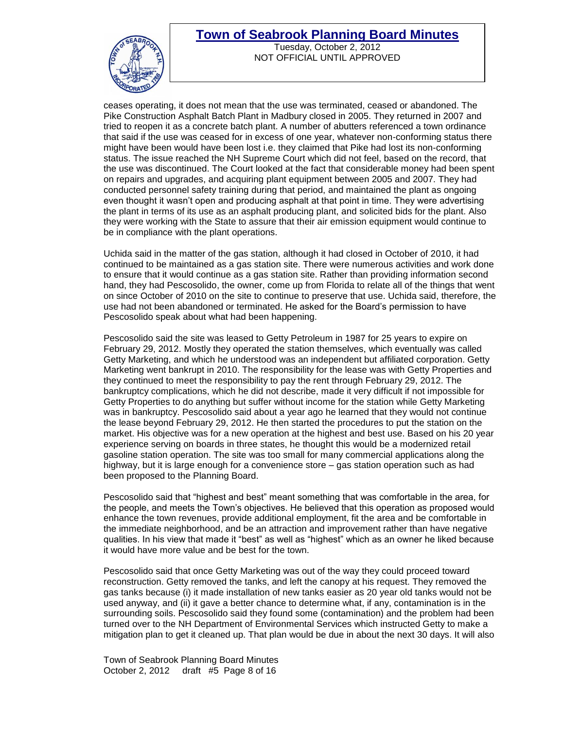

Tuesday, October 2, 2012 NOT OFFICIAL UNTIL APPROVED

ceases operating, it does not mean that the use was terminated, ceased or abandoned. The Pike Construction Asphalt Batch Plant in Madbury closed in 2005. They returned in 2007 and tried to reopen it as a concrete batch plant. A number of abutters referenced a town ordinance that said if the use was ceased for in excess of one year, whatever non-conforming status there might have been would have been lost i.e. they claimed that Pike had lost its non-conforming status. The issue reached the NH Supreme Court which did not feel, based on the record, that the use was discontinued. The Court looked at the fact that considerable money had been spent on repairs and upgrades, and acquiring plant equipment between 2005 and 2007. They had conducted personnel safety training during that period, and maintained the plant as ongoing even thought it wasn't open and producing asphalt at that point in time. They were advertising the plant in terms of its use as an asphalt producing plant, and solicited bids for the plant. Also they were working with the State to assure that their air emission equipment would continue to be in compliance with the plant operations.

Uchida said in the matter of the gas station, although it had closed in October of 2010, it had continued to be maintained as a gas station site. There were numerous activities and work done to ensure that it would continue as a gas station site. Rather than providing information second hand, they had Pescosolido, the owner, come up from Florida to relate all of the things that went on since October of 2010 on the site to continue to preserve that use. Uchida said, therefore, the use had not been abandoned or terminated. He asked for the Board's permission to have Pescosolido speak about what had been happening.

Pescosolido said the site was leased to Getty Petroleum in 1987 for 25 years to expire on February 29, 2012. Mostly they operated the station themselves, which eventually was called Getty Marketing, and which he understood was an independent but affiliated corporation. Getty Marketing went bankrupt in 2010. The responsibility for the lease was with Getty Properties and they continued to meet the responsibility to pay the rent through February 29, 2012. The bankruptcy complications, which he did not describe, made it very difficult if not impossible for Getty Properties to do anything but suffer without income for the station while Getty Marketing was in bankruptcy. Pescosolido said about a year ago he learned that they would not continue the lease beyond February 29, 2012. He then started the procedures to put the station on the market. His objective was for a new operation at the highest and best use. Based on his 20 year experience serving on boards in three states, he thought this would be a modernized retail gasoline station operation. The site was too small for many commercial applications along the highway, but it is large enough for a convenience store – gas station operation such as had been proposed to the Planning Board.

Pescosolido said that "highest and best" meant something that was comfortable in the area, for the people, and meets the Town's objectives. He believed that this operation as proposed would enhance the town revenues, provide additional employment, fit the area and be comfortable in the immediate neighborhood, and be an attraction and improvement rather than have negative qualities. In his view that made it "best" as well as "highest" which as an owner he liked because it would have more value and be best for the town.

Pescosolido said that once Getty Marketing was out of the way they could proceed toward reconstruction. Getty removed the tanks, and left the canopy at his request. They removed the gas tanks because (i) it made installation of new tanks easier as 20 year old tanks would not be used anyway, and (ii) it gave a better chance to determine what, if any, contamination is in the surrounding soils. Pescosolido said they found some (contamination) and the problem had been turned over to the NH Department of Environmental Services which instructed Getty to make a mitigation plan to get it cleaned up. That plan would be due in about the next 30 days. It will also

Town of Seabrook Planning Board Minutes October 2, 2012 draft #5 Page 8 of 16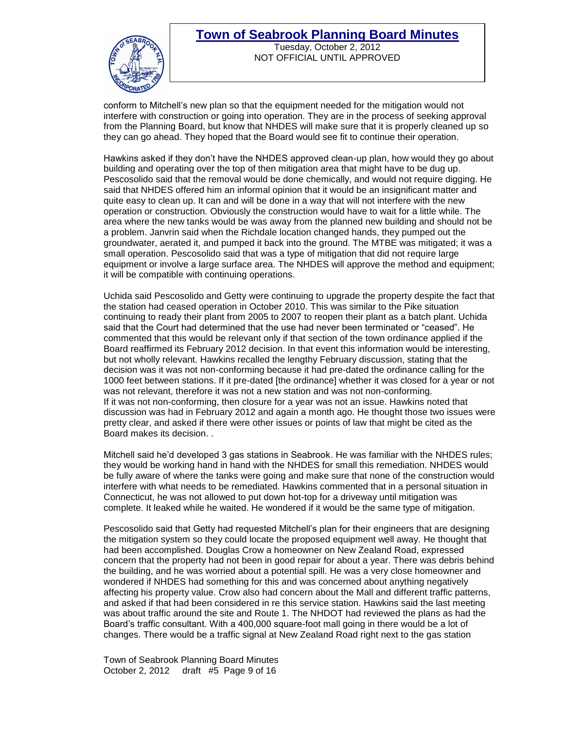

Tuesday, October 2, 2012 NOT OFFICIAL UNTIL APPROVED

conform to Mitchell's new plan so that the equipment needed for the mitigation would not interfere with construction or going into operation. They are in the process of seeking approval from the Planning Board, but know that NHDES will make sure that it is properly cleaned up so they can go ahead. They hoped that the Board would see fit to continue their operation.

Hawkins asked if they don't have the NHDES approved clean-up plan, how would they go about building and operating over the top of then mitigation area that might have to be dug up. Pescosolido said that the removal would be done chemically, and would not require digging. He said that NHDES offered him an informal opinion that it would be an insignificant matter and quite easy to clean up. It can and will be done in a way that will not interfere with the new operation or construction. Obviously the construction would have to wait for a little while. The area where the new tanks would be was away from the planned new building and should not be a problem. Janvrin said when the Richdale location changed hands, they pumped out the groundwater, aerated it, and pumped it back into the ground. The MTBE was mitigated; it was a small operation. Pescosolido said that was a type of mitigation that did not require large equipment or involve a large surface area. The NHDES will approve the method and equipment; it will be compatible with continuing operations.

Uchida said Pescosolido and Getty were continuing to upgrade the property despite the fact that the station had ceased operation in October 2010. This was similar to the Pike situation continuing to ready their plant from 2005 to 2007 to reopen their plant as a batch plant. Uchida said that the Court had determined that the use had never been terminated or "ceased". He commented that this would be relevant only if that section of the town ordinance applied if the Board reaffirmed its February 2012 decision. In that event this information would be interesting, but not wholly relevant. Hawkins recalled the lengthy February discussion, stating that the decision was it was not non-conforming because it had pre-dated the ordinance calling for the 1000 feet between stations. If it pre-dated [the ordinance] whether it was closed for a year or not was not relevant, therefore it was not a new station and was not non-conforming. If it was not non-conforming, then closure for a year was not an issue. Hawkins noted that discussion was had in February 2012 and again a month ago. He thought those two issues were pretty clear, and asked if there were other issues or points of law that might be cited as the Board makes its decision. .

Mitchell said he'd developed 3 gas stations in Seabrook. He was familiar with the NHDES rules; they would be working hand in hand with the NHDES for small this remediation. NHDES would be fully aware of where the tanks were going and make sure that none of the construction would interfere with what needs to be remediated. Hawkins commented that in a personal situation in Connecticut, he was not allowed to put down hot-top for a driveway until mitigation was complete. It leaked while he waited. He wondered if it would be the same type of mitigation.

Pescosolido said that Getty had requested Mitchell's plan for their engineers that are designing the mitigation system so they could locate the proposed equipment well away. He thought that had been accomplished. Douglas Crow a homeowner on New Zealand Road, expressed concern that the property had not been in good repair for about a year. There was debris behind the building, and he was worried about a potential spill. He was a very close homeowner and wondered if NHDES had something for this and was concerned about anything negatively affecting his property value. Crow also had concern about the Mall and different traffic patterns, and asked if that had been considered in re this service station. Hawkins said the last meeting was about traffic around the site and Route 1. The NHDOT had reviewed the plans as had the Board's traffic consultant. With a 400,000 square-foot mall going in there would be a lot of changes. There would be a traffic signal at New Zealand Road right next to the gas station

Town of Seabrook Planning Board Minutes October 2, 2012 draft #5 Page 9 of 16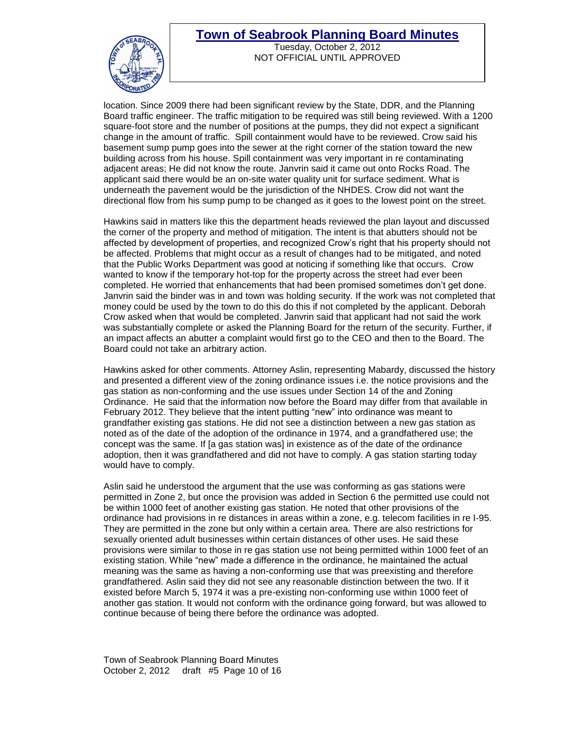

Tuesday, October 2, 2012 NOT OFFICIAL UNTIL APPROVED

location. Since 2009 there had been significant review by the State, DDR, and the Planning Board traffic engineer. The traffic mitigation to be required was still being reviewed. With a 1200 square-foot store and the number of positions at the pumps, they did not expect a significant change in the amount of traffic. Spill containment would have to be reviewed. Crow said his basement sump pump goes into the sewer at the right corner of the station toward the new building across from his house. Spill containment was very important in re contaminating adjacent areas; He did not know the route. Janvrin said it came out onto Rocks Road. The applicant said there would be an on-site water quality unit for surface sediment. What is underneath the pavement would be the jurisdiction of the NHDES. Crow did not want the directional flow from his sump pump to be changed as it goes to the lowest point on the street.

Hawkins said in matters like this the department heads reviewed the plan layout and discussed the corner of the property and method of mitigation. The intent is that abutters should not be affected by development of properties, and recognized Crow's right that his property should not be affected. Problems that might occur as a result of changes had to be mitigated, and noted that the Public Works Department was good at noticing if something like that occurs. Crow wanted to know if the temporary hot-top for the property across the street had ever been completed. He worried that enhancements that had been promised sometimes don't get done. Janvrin said the binder was in and town was holding security. If the work was not completed that money could be used by the town to do this do this if not completed by the applicant. Deborah Crow asked when that would be completed. Janvrin said that applicant had not said the work was substantially complete or asked the Planning Board for the return of the security. Further, if an impact affects an abutter a complaint would first go to the CEO and then to the Board. The Board could not take an arbitrary action.

Hawkins asked for other comments. Attorney Aslin, representing Mabardy, discussed the history and presented a different view of the zoning ordinance issues i.e. the notice provisions and the gas station as non-conforming and the use issues under Section 14 of the and Zoning Ordinance. He said that the information now before the Board may differ from that available in February 2012. They believe that the intent putting "new" into ordinance was meant to grandfather existing gas stations. He did not see a distinction between a new gas station as noted as of the date of the adoption of the ordinance in 1974, and a grandfathered use; the concept was the same. If [a gas station was] in existence as of the date of the ordinance adoption, then it was grandfathered and did not have to comply. A gas station starting today would have to comply.

Aslin said he understood the argument that the use was conforming as gas stations were permitted in Zone 2, but once the provision was added in Section 6 the permitted use could not be within 1000 feet of another existing gas station. He noted that other provisions of the ordinance had provisions in re distances in areas within a zone, e.g. telecom facilities in re I-95. They are permitted in the zone but only within a certain area. There are also restrictions for sexually oriented adult businesses within certain distances of other uses. He said these provisions were similar to those in re gas station use not being permitted within 1000 feet of an existing station. While "new" made a difference in the ordinance, he maintained the actual meaning was the same as having a non-conforming use that was preexisting and therefore grandfathered. Aslin said they did not see any reasonable distinction between the two. If it existed before March 5, 1974 it was a pre-existing non-conforming use within 1000 feet of another gas station. It would not conform with the ordinance going forward, but was allowed to continue because of being there before the ordinance was adopted.

Town of Seabrook Planning Board Minutes October 2, 2012 draft #5 Page 10 of 16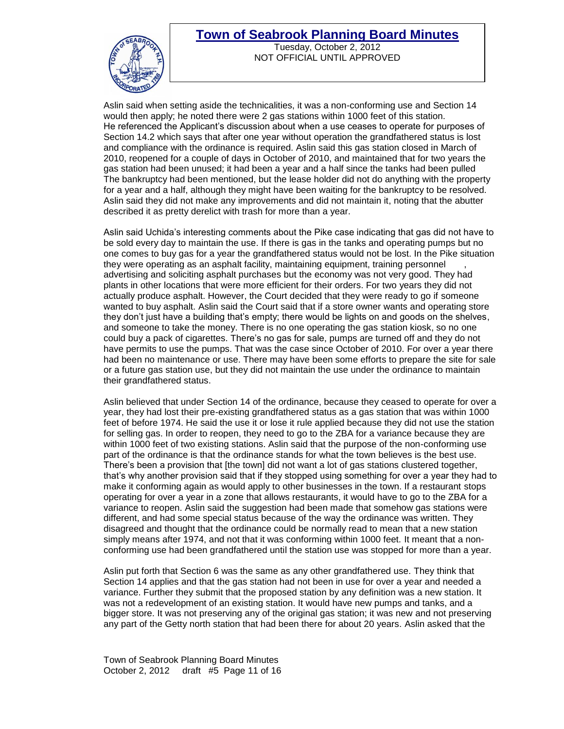

Tuesday, October 2, 2012 NOT OFFICIAL UNTIL APPROVED

Aslin said when setting aside the technicalities, it was a non-conforming use and Section 14 would then apply; he noted there were 2 gas stations within 1000 feet of this station. He referenced the Applicant's discussion about when a use ceases to operate for purposes of Section 14.2 which says that after one year without operation the grandfathered status is lost and compliance with the ordinance is required. Aslin said this gas station closed in March of 2010, reopened for a couple of days in October of 2010, and maintained that for two years the gas station had been unused; it had been a year and a half since the tanks had been pulled The bankruptcy had been mentioned, but the lease holder did not do anything with the property for a year and a half, although they might have been waiting for the bankruptcy to be resolved. Aslin said they did not make any improvements and did not maintain it, noting that the abutter described it as pretty derelict with trash for more than a year.

Aslin said Uchida's interesting comments about the Pike case indicating that gas did not have to be sold every day to maintain the use. If there is gas in the tanks and operating pumps but no one comes to buy gas for a year the grandfathered status would not be lost. In the Pike situation they were operating as an asphalt facility, maintaining equipment, training personnel , advertising and soliciting asphalt purchases but the economy was not very good. They had plants in other locations that were more efficient for their orders. For two years they did not actually produce asphalt. However, the Court decided that they were ready to go if someone wanted to buy asphalt. Aslin said the Court said that if a store owner wants and operating store they don't just have a building that's empty; there would be lights on and goods on the shelves, and someone to take the money. There is no one operating the gas station kiosk, so no one could buy a pack of cigarettes. There's no gas for sale, pumps are turned off and they do not have permits to use the pumps. That was the case since October of 2010. For over a year there had been no maintenance or use. There may have been some efforts to prepare the site for sale or a future gas station use, but they did not maintain the use under the ordinance to maintain their grandfathered status.

Aslin believed that under Section 14 of the ordinance, because they ceased to operate for over a year, they had lost their pre-existing grandfathered status as a gas station that was within 1000 feet of before 1974. He said the use it or lose it rule applied because they did not use the station for selling gas. In order to reopen, they need to go to the ZBA for a variance because they are within 1000 feet of two existing stations. Aslin said that the purpose of the non-conforming use part of the ordinance is that the ordinance stands for what the town believes is the best use. There's been a provision that [the town] did not want a lot of gas stations clustered together, that's why another provision said that if they stopped using something for over a year they had to make it conforming again as would apply to other businesses in the town. If a restaurant stops operating for over a year in a zone that allows restaurants, it would have to go to the ZBA for a variance to reopen. Aslin said the suggestion had been made that somehow gas stations were different, and had some special status because of the way the ordinance was written. They disagreed and thought that the ordinance could be normally read to mean that a new station simply means after 1974, and not that it was conforming within 1000 feet. It meant that a nonconforming use had been grandfathered until the station use was stopped for more than a year.

Aslin put forth that Section 6 was the same as any other grandfathered use. They think that Section 14 applies and that the gas station had not been in use for over a year and needed a variance. Further they submit that the proposed station by any definition was a new station. It was not a redevelopment of an existing station. It would have new pumps and tanks, and a bigger store. It was not preserving any of the original gas station; it was new and not preserving any part of the Getty north station that had been there for about 20 years. Aslin asked that the

Town of Seabrook Planning Board Minutes October 2, 2012 draft #5 Page 11 of 16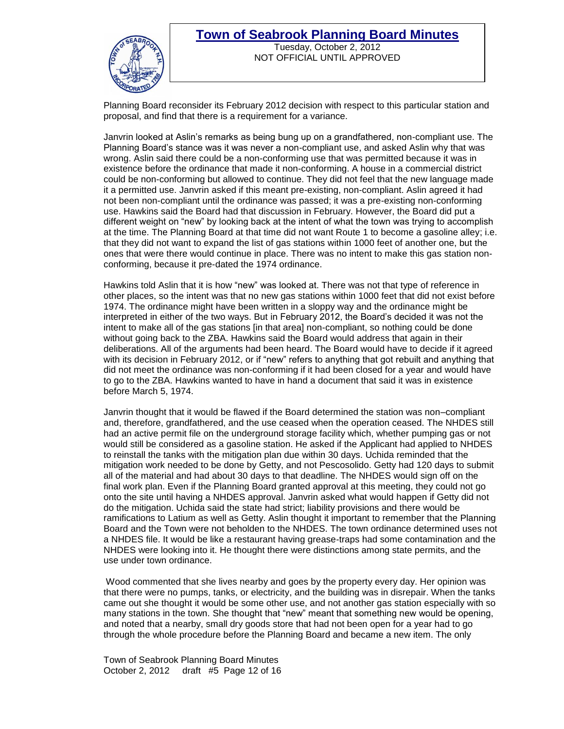

Tuesday, October 2, 2012 NOT OFFICIAL UNTIL APPROVED

Planning Board reconsider its February 2012 decision with respect to this particular station and proposal, and find that there is a requirement for a variance.

Janvrin looked at Aslin's remarks as being bung up on a grandfathered, non-compliant use. The Planning Board's stance was it was never a non-compliant use, and asked Aslin why that was wrong. Aslin said there could be a non-conforming use that was permitted because it was in existence before the ordinance that made it non-conforming. A house in a commercial district could be non-conforming but allowed to continue. They did not feel that the new language made it a permitted use. Janvrin asked if this meant pre-existing, non-compliant. Aslin agreed it had not been non-compliant until the ordinance was passed; it was a pre-existing non-conforming use. Hawkins said the Board had that discussion in February. However, the Board did put a different weight on "new" by looking back at the intent of what the town was trying to accomplish at the time. The Planning Board at that time did not want Route 1 to become a gasoline alley; i.e. that they did not want to expand the list of gas stations within 1000 feet of another one, but the ones that were there would continue in place. There was no intent to make this gas station nonconforming, because it pre-dated the 1974 ordinance.

Hawkins told Aslin that it is how "new" was looked at. There was not that type of reference in other places, so the intent was that no new gas stations within 1000 feet that did not exist before 1974. The ordinance might have been written in a sloppy way and the ordinance might be interpreted in either of the two ways. But in February 2012, the Board's decided it was not the intent to make all of the gas stations [in that area] non-compliant, so nothing could be done without going back to the ZBA. Hawkins said the Board would address that again in their deliberations. All of the arguments had been heard. The Board would have to decide if it agreed with its decision in February 2012, or if "new" refers to anything that got rebuilt and anything that did not meet the ordinance was non-conforming if it had been closed for a year and would have to go to the ZBA. Hawkins wanted to have in hand a document that said it was in existence before March 5, 1974.

Janvrin thought that it would be flawed if the Board determined the station was non–compliant and, therefore, grandfathered, and the use ceased when the operation ceased. The NHDES still had an active permit file on the underground storage facility which, whether pumping gas or not would still be considered as a gasoline station. He asked if the Applicant had applied to NHDES to reinstall the tanks with the mitigation plan due within 30 days. Uchida reminded that the mitigation work needed to be done by Getty, and not Pescosolido. Getty had 120 days to submit all of the material and had about 30 days to that deadline. The NHDES would sign off on the final work plan. Even if the Planning Board granted approval at this meeting, they could not go onto the site until having a NHDES approval. Janvrin asked what would happen if Getty did not do the mitigation. Uchida said the state had strict; liability provisions and there would be ramifications to Latium as well as Getty. Aslin thought it important to remember that the Planning Board and the Town were not beholden to the NHDES. The town ordinance determined uses not a NHDES file. It would be like a restaurant having grease-traps had some contamination and the NHDES were looking into it. He thought there were distinctions among state permits, and the use under town ordinance.

Wood commented that she lives nearby and goes by the property every day. Her opinion was that there were no pumps, tanks, or electricity, and the building was in disrepair. When the tanks came out she thought it would be some other use, and not another gas station especially with so many stations in the town. She thought that "new" meant that something new would be opening, and noted that a nearby, small dry goods store that had not been open for a year had to go through the whole procedure before the Planning Board and became a new item. The only

Town of Seabrook Planning Board Minutes October 2, 2012 draft #5 Page 12 of 16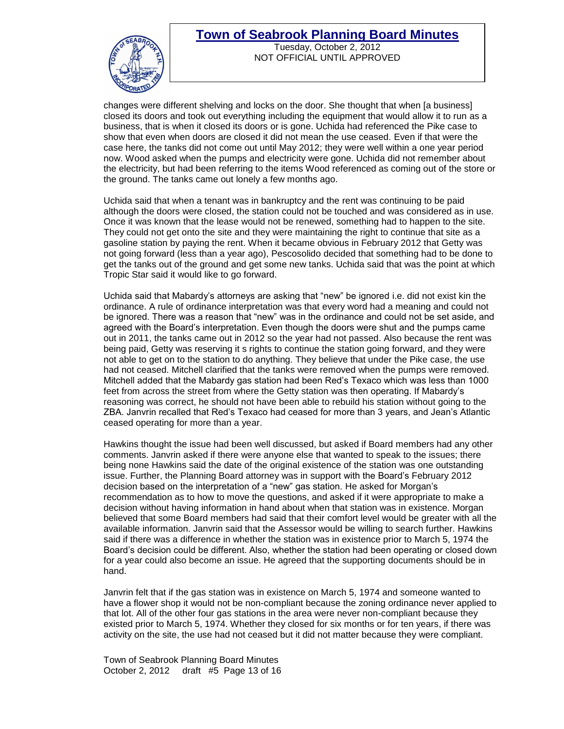

Tuesday, October 2, 2012 NOT OFFICIAL UNTIL APPROVED

changes were different shelving and locks on the door. She thought that when [a business] closed its doors and took out everything including the equipment that would allow it to run as a business, that is when it closed its doors or is gone. Uchida had referenced the Pike case to show that even when doors are closed it did not mean the use ceased. Even if that were the case here, the tanks did not come out until May 2012; they were well within a one year period now. Wood asked when the pumps and electricity were gone. Uchida did not remember about the electricity, but had been referring to the items Wood referenced as coming out of the store or the ground. The tanks came out lonely a few months ago.

Uchida said that when a tenant was in bankruptcy and the rent was continuing to be paid although the doors were closed, the station could not be touched and was considered as in use. Once it was known that the lease would not be renewed, something had to happen to the site. They could not get onto the site and they were maintaining the right to continue that site as a gasoline station by paying the rent. When it became obvious in February 2012 that Getty was not going forward (less than a year ago), Pescosolido decided that something had to be done to get the tanks out of the ground and get some new tanks. Uchida said that was the point at which Tropic Star said it would like to go forward.

Uchida said that Mabardy's attorneys are asking that "new" be ignored i.e. did not exist kin the ordinance. A rule of ordinance interpretation was that every word had a meaning and could not be ignored. There was a reason that "new" was in the ordinance and could not be set aside, and agreed with the Board's interpretation. Even though the doors were shut and the pumps came out in 2011, the tanks came out in 2012 so the year had not passed. Also because the rent was being paid, Getty was reserving it s rights to continue the station going forward, and they were not able to get on to the station to do anything. They believe that under the Pike case, the use had not ceased. Mitchell clarified that the tanks were removed when the pumps were removed. Mitchell added that the Mabardy gas station had been Red's Texaco which was less than 1000 feet from across the street from where the Getty station was then operating. If Mabardy's reasoning was correct, he should not have been able to rebuild his station without going to the ZBA. Janvrin recalled that Red's Texaco had ceased for more than 3 years, and Jean's Atlantic ceased operating for more than a year.

Hawkins thought the issue had been well discussed, but asked if Board members had any other comments. Janvrin asked if there were anyone else that wanted to speak to the issues; there being none Hawkins said the date of the original existence of the station was one outstanding issue. Further, the Planning Board attorney was in support with the Board's February 2012 decision based on the interpretation of a "new" gas station. He asked for Morgan's recommendation as to how to move the questions, and asked if it were appropriate to make a decision without having information in hand about when that station was in existence. Morgan believed that some Board members had said that their comfort level would be greater with all the available information. Janvrin said that the Assessor would be willing to search further. Hawkins said if there was a difference in whether the station was in existence prior to March 5, 1974 the Board's decision could be different. Also, whether the station had been operating or closed down for a year could also become an issue. He agreed that the supporting documents should be in hand.

Janvrin felt that if the gas station was in existence on March 5, 1974 and someone wanted to have a flower shop it would not be non-compliant because the zoning ordinance never applied to that lot. All of the other four gas stations in the area were never non-compliant because they existed prior to March 5, 1974. Whether they closed for six months or for ten years, if there was activity on the site, the use had not ceased but it did not matter because they were compliant.

Town of Seabrook Planning Board Minutes October 2, 2012 draft #5 Page 13 of 16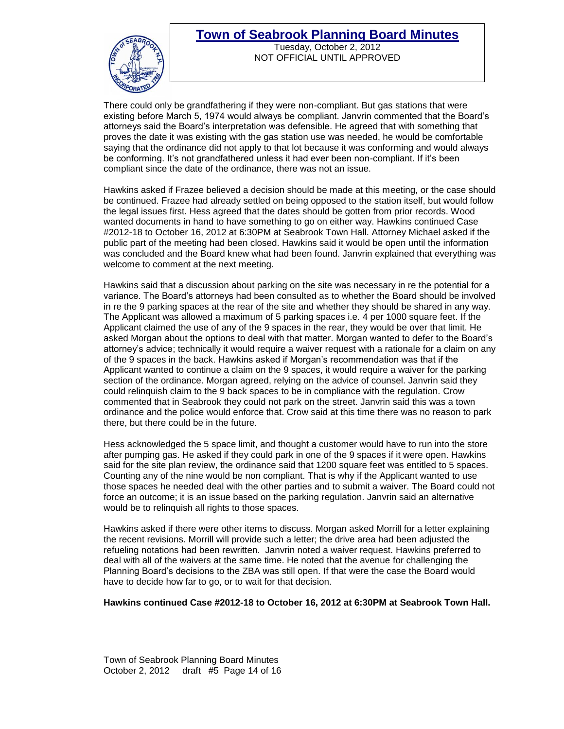

Tuesday, October 2, 2012 NOT OFFICIAL UNTIL APPROVED

There could only be grandfathering if they were non-compliant. But gas stations that were existing before March 5, 1974 would always be compliant. Janvrin commented that the Board's attorneys said the Board's interpretation was defensible. He agreed that with something that proves the date it was existing with the gas station use was needed, he would be comfortable saying that the ordinance did not apply to that lot because it was conforming and would always be conforming. It's not grandfathered unless it had ever been non-compliant. If it's been compliant since the date of the ordinance, there was not an issue.

Hawkins asked if Frazee believed a decision should be made at this meeting, or the case should be continued. Frazee had already settled on being opposed to the station itself, but would follow the legal issues first. Hess agreed that the dates should be gotten from prior records. Wood wanted documents in hand to have something to go on either way. Hawkins continued Case #2012-18 to October 16, 2012 at 6:30PM at Seabrook Town Hall. Attorney Michael asked if the public part of the meeting had been closed. Hawkins said it would be open until the information was concluded and the Board knew what had been found. Janvrin explained that everything was welcome to comment at the next meeting.

Hawkins said that a discussion about parking on the site was necessary in re the potential for a variance. The Board's attorneys had been consulted as to whether the Board should be involved in re the 9 parking spaces at the rear of the site and whether they should be shared in any way. The Applicant was allowed a maximum of 5 parking spaces i.e. 4 per 1000 square feet. If the Applicant claimed the use of any of the 9 spaces in the rear, they would be over that limit. He asked Morgan about the options to deal with that matter. Morgan wanted to defer to the Board's attorney's advice; technically it would require a waiver request with a rationale for a claim on any of the 9 spaces in the back. Hawkins asked if Morgan's recommendation was that if the Applicant wanted to continue a claim on the 9 spaces, it would require a waiver for the parking section of the ordinance. Morgan agreed, relying on the advice of counsel. Janvrin said they could relinquish claim to the 9 back spaces to be in compliance with the regulation. Crow commented that in Seabrook they could not park on the street. Janvrin said this was a town ordinance and the police would enforce that. Crow said at this time there was no reason to park there, but there could be in the future.

Hess acknowledged the 5 space limit, and thought a customer would have to run into the store after pumping gas. He asked if they could park in one of the 9 spaces if it were open. Hawkins said for the site plan review, the ordinance said that 1200 square feet was entitled to 5 spaces. Counting any of the nine would be non compliant. That is why if the Applicant wanted to use those spaces he needed deal with the other parties and to submit a waiver. The Board could not force an outcome; it is an issue based on the parking regulation. Janvrin said an alternative would be to relinquish all rights to those spaces.

Hawkins asked if there were other items to discuss. Morgan asked Morrill for a letter explaining the recent revisions. Morrill will provide such a letter; the drive area had been adjusted the refueling notations had been rewritten. Janvrin noted a waiver request. Hawkins preferred to deal with all of the waivers at the same time. He noted that the avenue for challenging the Planning Board's decisions to the ZBA was still open. If that were the case the Board would have to decide how far to go, or to wait for that decision.

#### **Hawkins continued Case #2012-18 to October 16, 2012 at 6:30PM at Seabrook Town Hall.**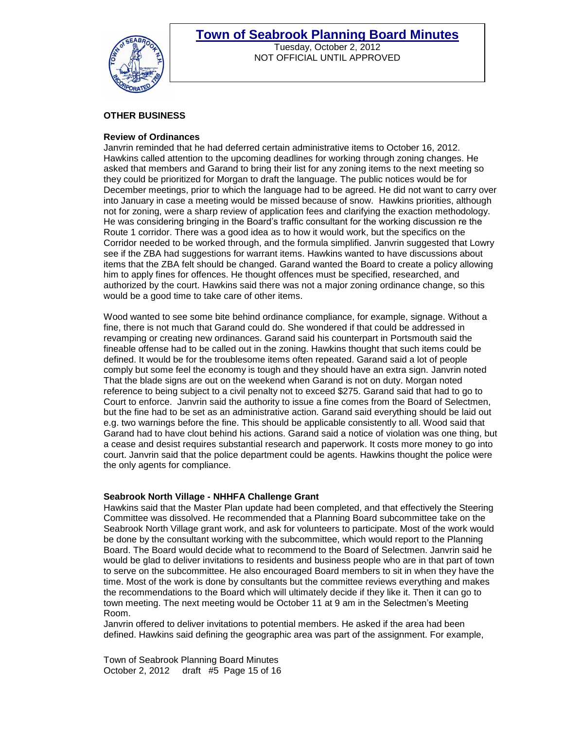

Tuesday, October 2, 2012 NOT OFFICIAL UNTIL APPROVED

#### **OTHER BUSINESS**

#### **Review of Ordinances**

Janvrin reminded that he had deferred certain administrative items to October 16, 2012. Hawkins called attention to the upcoming deadlines for working through zoning changes. He asked that members and Garand to bring their list for any zoning items to the next meeting so they could be prioritized for Morgan to draft the language. The public notices would be for December meetings, prior to which the language had to be agreed. He did not want to carry over into January in case a meeting would be missed because of snow. Hawkins priorities, although not for zoning, were a sharp review of application fees and clarifying the exaction methodology. He was considering bringing in the Board's traffic consultant for the working discussion re the Route 1 corridor. There was a good idea as to how it would work, but the specifics on the Corridor needed to be worked through, and the formula simplified. Janvrin suggested that Lowry see if the ZBA had suggestions for warrant items. Hawkins wanted to have discussions about items that the ZBA felt should be changed. Garand wanted the Board to create a policy allowing him to apply fines for offences. He thought offences must be specified, researched, and authorized by the court. Hawkins said there was not a major zoning ordinance change, so this would be a good time to take care of other items.

Wood wanted to see some bite behind ordinance compliance, for example, signage. Without a fine, there is not much that Garand could do. She wondered if that could be addressed in revamping or creating new ordinances. Garand said his counterpart in Portsmouth said the fineable offense had to be called out in the zoning. Hawkins thought that such items could be defined. It would be for the troublesome items often repeated. Garand said a lot of people comply but some feel the economy is tough and they should have an extra sign. Janvrin noted That the blade signs are out on the weekend when Garand is not on duty. Morgan noted reference to being subject to a civil penalty not to exceed \$275. Garand said that had to go to Court to enforce. Janvrin said the authority to issue a fine comes from the Board of Selectmen, but the fine had to be set as an administrative action. Garand said everything should be laid out e.g. two warnings before the fine. This should be applicable consistently to all. Wood said that Garand had to have clout behind his actions. Garand said a notice of violation was one thing, but a cease and desist requires substantial research and paperwork. It costs more money to go into court. Janvrin said that the police department could be agents. Hawkins thought the police were the only agents for compliance.

#### **Seabrook North Village - NHHFA Challenge Grant**

Hawkins said that the Master Plan update had been completed, and that effectively the Steering Committee was dissolved. He recommended that a Planning Board subcommittee take on the Seabrook North Village grant work, and ask for volunteers to participate. Most of the work would be done by the consultant working with the subcommittee, which would report to the Planning Board. The Board would decide what to recommend to the Board of Selectmen. Janvrin said he would be glad to deliver invitations to residents and business people who are in that part of town to serve on the subcommittee. He also encouraged Board members to sit in when they have the time. Most of the work is done by consultants but the committee reviews everything and makes the recommendations to the Board which will ultimately decide if they like it. Then it can go to town meeting. The next meeting would be October 11 at 9 am in the Selectmen's Meeting Room.

Janvrin offered to deliver invitations to potential members. He asked if the area had been defined. Hawkins said defining the geographic area was part of the assignment. For example,

Town of Seabrook Planning Board Minutes October 2, 2012 draft #5 Page 15 of 16